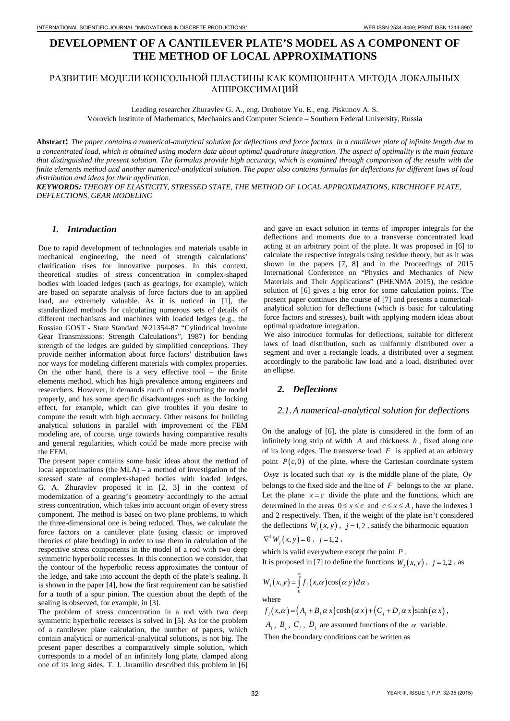# **DEVELOPMENT OF A CANTILEVER PLATE'S MODEL AS A COMPONENT OF THE METHOD OF LOCAL APPROXIMATIONS**

# РАЗВИТИЕ МОДЕЛИ КОНСОЛЬНОЙ ПЛАСТИНЫ КАК КОМПОНЕНТА МЕТОДА ЛОКАЛЬНЫХ АППРОКСИМАЦИЙ

Leading researcher Zhuravlev G. A., eng. Drobotov Yu. E., eng. Piskunov A. S.

Vorovich Institute of Mathematics, Mechanics and Computer Science – Southern Federal University, Russia

**Abstract:** *The paper contains a numerical-analytical solution for deflections and force factors in a cantilever plate of infinite length due to a concentrated load, which is obtained using modern data about optimal quadrature integration. The aspect of optimality is the main feature that distinguished the present solution. The formulas provide high accuracy, which is examined through comparison of the results with the finite elements method and another numerical-analytical solution. The paper also contains formulas for deflections for different laws of load distribution and ideas for their application.*

*KEYWORDS: THEORY OF ELASTICITY, STRESSED STATE, THE METHOD OF LOCAL APPROXIMATIONS, KIRCHHOFF PLATE, DEFLECTIONS, GEAR MODELING*

## *1. Introduction*

Due to rapid development of technologies and materials usable in mechanical engineering, the need of strength calculations' clarification rises for innovative purposes. In this context, theoretical studies of stress concentration in complex-shaped bodies with loaded ledges (such as gearings, for example), which are based on separate analysis of force factors due to an applied load, are extremely valuable. As it is noticed in [1], the standardized methods for calculating numerous sets of details of different mechanisms and machines with loaded ledges (e.g., the Russian GOST - State Standard №21354-87 "Cylindrical Involute Gear Transmissions: Strength Calculations", 1987) for bending strength of the ledges are guided by simplified conceptions. They provide neither information about force factors' distribution laws nor ways for modeling different materials with complex properties. On the other hand, there is a very effective tool – the finite elements method, which has high prevalence among engineers and researchers. However, it demands much of constructing the model properly, and has some specific disadvantages such as the locking effect, for example, which can give troubles if you desire to compute the result with high accuracy. Other reasons for building analytical solutions in parallel with improvement of the FEM modeling are, of course, urge towards having comparative results and general regularities, which could be made more precise with the FEM.

The present paper contains some basic ideas about the method of local approximations (the MLA) – a method of investigation of the stressed state of complex-shaped bodies with loaded ledges. G. A. Zhuravlev proposed it in [2, 3] in the context of modernization of a gearing's geometry accordingly to the actual stress concentration, which takes into account origin of every stress component. The method is based on two plane problems, to which the three-dimensional one is being reduced. Thus, we calculate the force factors on a cantilever plate (using classic or improved theories of plate bending) in order to use them in calculation of the respective stress components in the model of a rod with two deep symmetric hyperbolic recesses. In this connection we consider, that the contour of the hyperbolic recess approximates the contour of the ledge, and take into account the depth of the plate's sealing. It is shown in the paper [4], how the first requirement can be satisfied for a tooth of a spur pinion. The question about the depth of the sealing is observed, for example, in [3].

The problem of stress concentration in a rod with two deep symmetric hyperbolic recesses is solved in [5]. As for the problem of a cantilever plate calculation, the number of papers, which contain analytical or numerical-analytical solutions, is not big. The present paper describes a comparatively simple solution, which corresponds to a model of an infinitely long plate, clamped along one of its long sides. T. J. Jaramillo described this problem in [6] and gave an exact solution in terms of improper integrals for the deflections and moments due to a transverse concentrated load acting at an arbitrary point of the plate. It was proposed in [6] to calculate the respective integrals using residue theory, but as it was shown in the papers [7, 8] and in the Proceedings of 2015 International Conference on "Physics and Mechanics of New Materials and Their Applications" (PHENMA 2015), the residue solution of [6] gives a big error for some calculation points. The present paper continues the course of [7] and presents a numericalanalytical solution for deflections (which is basic for calculating force factors and stresses), built with applying modern ideas about optimal quadrature integration.

We also introduce formulas for deflections, suitable for different laws of load distribution, such as uniformly distributed over a segment and over a rectangle loads, a distributed over a segment accordingly to the parabolic law load and a load, distributed over an ellipse.

## *2. Deflections*

#### *2.1.A numerical-analytical solution for deflections*

On the analogy of [6], the plate is considered in the form of an infinitely long strip of width *A* and thickness *h* , fixed along one of its long edges. The transverse load *F* is applied at an arbitrary point  $P(c, 0)$  of the plate, where the Cartesian coordinate system *Oxyz* is located such that *xy* is the middle plane of the plate, *Oy* belongs to the fixed side and the line of *F* belongs to the *xz* plane. Let the plane  $x = c$  divide the plate and the functions, which are determined in the areas  $0 \le x \le c$  and  $c \le x \le A$ , have the indexes 1 and 2 respectively. Then, if the weight of the plate isn't considered the deflections  $W_i(x, y)$ ,  $j = 1, 2$ , satisfy the biharmonic equation  $\nabla^4 W_i(x, y) = 0$ ,  $j = 1, 2$ ,

which is valid everywhere except the point *P* .

It is proposed in [7] to define the functions  $W_i(x, y)$ ,  $j = 1, 2$ , as

$$
W_j(x, y) = \int_0^\infty f_j(x, \alpha) \cos(\alpha y) d\alpha,
$$

where

 $f_i(x, \alpha) = (A_i + B_i \alpha x) \cosh(\alpha x) + (C_i + D_i \alpha x) \sinh(\alpha x)$ ,

*A<sub>i</sub>*, *B<sub>i</sub>*, *C<sub>i</sub>*, *D<sub>i</sub>* are assumed functions of the  $\alpha$  variable. Then the boundary conditions can be written as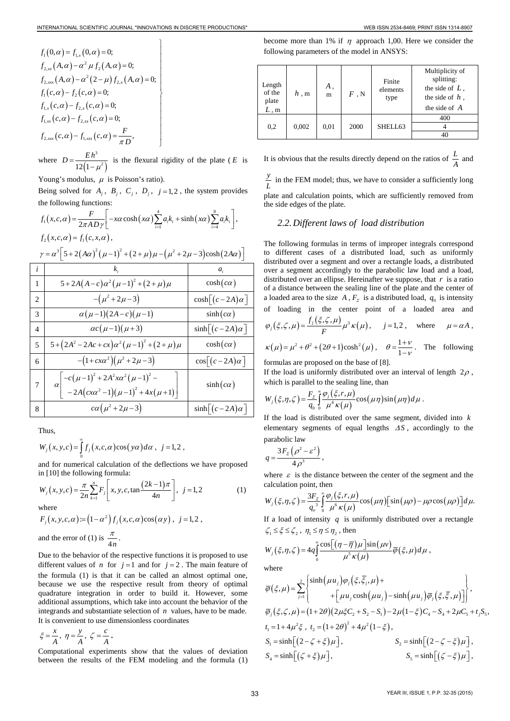$$
f_1(0,\alpha) = f_{1,x}(0,\alpha) = 0;
$$
  
\n
$$
f_{2,xx}(A,\alpha) - \alpha^2 \mu f_2(A,\alpha) = 0;
$$
  
\n
$$
f_{2,xx}(A,\alpha) - \alpha^2 (2-\mu) f_{2,x}(A,\alpha) = 0;
$$
  
\n
$$
f_1(c,\alpha) - f_2(c,\alpha) = 0;
$$
  
\n
$$
f_{1,x}(c,\alpha) - f_{2,x}(c,\alpha) = 0;
$$
  
\n
$$
f_{1,xx}(c,\alpha) - f_{2,xx}(c,\alpha) = 0;
$$
  
\n
$$
f_{2,xx}(c,\alpha) - f_{1,xx}(c,\alpha) = \frac{F}{\pi D},
$$

where  $D = \frac{E h^3}{12(1 - \mu^2)}$  $D = \frac{E h^3}{12(1-\mu^2)}$  is the flexural rigidity of the plate (*E* is

Young's modulus,  $\mu$  is Poisson's ratio).

Being solved for  $A_i$ ,  $B_i$ ,  $C_i$ ,  $D_i$ ,  $j=1,2$ , the system provides the following functions:

$$
f_1(x,c,\alpha) = \frac{F}{2\pi A D \gamma} \left[ -x\alpha \cosh\left(x\alpha\right) \sum_{i=1}^4 a_i k_i + \sinh\left(x\alpha\right) \sum_{i=4}^8 a_i k_i \right],
$$
  
\n
$$
f_2(x,c,\alpha) = f_1(c,x,\alpha),
$$
  
\n
$$
\gamma = \alpha^3 \left[ 5 + 2\left(A\alpha\right)^2 \left(\mu - 1\right)^2 + \left(2 + \mu\right)\mu - \left(\mu^2 + 2\mu - 3\right) \cosh\left(2A\alpha\right) \right]
$$

| i                             | k,                                                                                                               | $a_i$                             |
|-------------------------------|------------------------------------------------------------------------------------------------------------------|-----------------------------------|
| $\mathbf{1}$                  | $5+2A(A-c)\alpha^{2}(\mu-1)^{2}+(2+\mu)\mu$                                                                      | $\cosh(c\alpha)$                  |
| $\mathfrak{D}_{\mathfrak{p}}$ | $-(\mu^2 + 2\mu - 3)$                                                                                            | $\cosh\left[ (c-2A)\alpha\right]$ |
| 3                             | $\alpha(\mu-1)(2A-c)(\mu-1)$                                                                                     | $sinh(c\alpha)$                   |
| $\overline{4}$                | $\alpha c(\mu-1)(\mu+3)$                                                                                         | $sinh[(c-2A)\alpha]$              |
| 5                             | $5 + (2A^2 - 2Ac + cx)\alpha^2(\mu-1)^2 + (2+\mu)\mu$                                                            | $\cosh(c\alpha)$                  |
| 6                             | $-(1+cx\alpha^2)(\mu^2+2\mu-3)$                                                                                  | $\cos[(c-2A)\alpha]$              |
| 7                             | $\begin{bmatrix} -c(\mu-1)^2 + 2A^2x\alpha^2(\mu-1)^2 - \\ -2A(cx\alpha^2-1)(\mu-1)^2 + 4x(\mu+1) \end{bmatrix}$ | $sinh(c\alpha)$                   |
| 8                             | $c\alpha\left(\mu^2+2\mu-3\right)$                                                                               | $sinh[(c-2A)\alpha]$              |

Thus,

$$
W_j(x, y, c) = \int_0^\infty f_j(x, c, \alpha) \cos(y\alpha) d\alpha, \ \ j = 1, 2,
$$

and for numerical calculation of the deflections we have proposed in [10] the following formula:

$$
W_j(x, y, c) = \frac{\pi}{2n} \sum_{k=1}^n F_j \left[ x, y, c, \tan \frac{(2k-1)\pi}{4n} \right], \ j = 1, 2 \tag{1}
$$

where  

$$
F_j(x, y, c, \alpha) := (1 - \alpha^2) f_j(x, c, \alpha) \cos(\alpha y), \ j = 1, 2,
$$

and the error of (1) is  $\frac{\pi}{4n}$ .

Due to the behavior of the respective functions it is proposed to use different values of *n* for  $j = 1$  and for  $j = 2$ . The main feature of the formula (1) is that it can be called an almost optimal one, because we use the respective result from theory of optimal quadrature integration in order to build it. However, some additional assumptions, which take into account the behavior of the integrands and substantiate selection of *n* values, have to be made. It is convenient to use dimensionless coordinates

 $\xi = \frac{x}{A}$ ,  $\eta = \frac{y}{A}$ ,  $\zeta = \frac{c}{A}$ .

Computational experiments show that the values of deviation between the results of the FEM modeling and the formula (1) become more than 1% if  $\eta$  approach 1,00. Here we consider the following parameters of the model in ANSYS:

| Length<br>of the<br>plate<br>$L \cdot m$ | h, m  | Α.<br>m | F, N | Finite<br>elements<br>type | Multiplicity of<br>splitting:<br>the side of $L$ ,<br>the side of $h$ .<br>the side of $\overline{A}$ |
|------------------------------------------|-------|---------|------|----------------------------|-------------------------------------------------------------------------------------------------------|
|                                          | 0,002 | 0,01    | 2000 | SHELL63                    | 400                                                                                                   |
| 0,2                                      |       |         |      |                            |                                                                                                       |
|                                          |       |         |      |                            |                                                                                                       |

It is obvious that the results directly depend on the ratios of  $\frac{L}{A}$  and

 $\frac{y}{L}$  in the FEM model; thus, we have to consider a sufficiently long plate and calculation points, which are sufficiently removed from

the side edges of the plate.

### *2.2.Different laws of load distribution*

The following formulas in terms of improper integrals correspond to different cases of a distributed load, such as uniformly distributed over a segment and over a rectangle loads, a distributed over a segment accordingly to the parabolic law load and a load, distributed over an ellipse. Hereinafter we suppose, that *r* is a ratio of a distance between the sealing line of the plate and the center of a loaded area to the size  $A$ ,  $F<sub>Σ</sub>$  is a distributed load,  $q<sub>0</sub>$  is intensity of loading in the center point of a loaded area and

$$
\varphi_j(\xi,\zeta,\mu) = \frac{f_j(\xi,\zeta,\mu)}{F} \mu^3 \kappa(\mu), \quad j = 1,2 \,, \quad \text{where} \quad \mu = \alpha A \,,
$$

$$
\kappa(\mu) = \mu^2 + \theta^2 + (2\theta + 1)\cosh^2(\mu)
$$
,  $\theta = \frac{1+\nu}{1-\nu}$ . The following

formulas are proposed on the base of [8].

If the load is uniformly distributed over an interval of length  $2\rho$ , which is parallel to the sealing line, than

$$
W_j(\xi,\eta,\zeta) = \frac{F_{\Sigma}}{q_0} \int_{0}^{\infty} \frac{\varphi_j(\xi,r,\mu)}{\mu^4 \kappa(\mu)} \cos(\mu\eta) \sin(\mu\eta) d\mu.
$$

If the load is distributed over the same segment, divided into *k* elementary segments of equal lengths ∆*S* , accordingly to the parabolic law

$$
q=\frac{3F_{\rm \scriptscriptstyle E}\left(\rho^2-\varepsilon^2\right)}{4\rho^3}\,,
$$

where  $\varepsilon$  is the distance between the center of the segment and the calculation point, then

$$
W_j(\xi,\eta,\zeta) = \frac{3F_\text{S}}{q_\text{o}^3} \int_0^\infty \frac{\varphi_j(\xi,r,\mu)}{\mu^6 \kappa(\mu)} \cos(\mu\eta) \left[\sin(\mu\rho) - \mu\rho\cos(\mu\rho)\right] d\mu.
$$

If a load of intensity *q* is uniformly distributed over a rectangle  $\zeta_1 \leq \xi \leq \zeta_2$ ,  $\eta_1 \leq \eta \leq \eta_2$ , then

$$
W_j(\xi,\eta,\zeta) = 4q \int_0^\infty \frac{\cos[(\eta-\overline{\eta})\mu]\sin(\mu\nu)}{\mu^5 \kappa(\mu)} \overline{\varphi}(\xi,\mu) d\mu,
$$

where

$$
\overline{\varphi}(\xi,\mu) = \sum_{j=1}^{2} \begin{cases}\n\sinh(\mu u_j)\varphi_j(\xi,\overline{\xi}_j,\mu) + \\
+ \left[\mu u_j \cosh(\mu u_j) - \sinh(\mu u_j)\overline{\varphi}_j(\xi,\overline{\xi},\mu)\right] \n\end{cases},
$$
\n
$$
\overline{\varphi}_j(\xi,\zeta,\mu) = (1+2\theta)(2\mu\xi C_2 + S_2 - S_1) - 2\mu(1-\xi)C_4 - S_4 + 2\mu C_5 + t_j S_5,
$$
\n
$$
t_1 = 1 + 4\mu^2 \xi, \ t_2 = (1+2\theta)^2 + 4\mu^2(1-\xi),
$$
\n
$$
S_1 = \sinh\left[(2-\zeta+\xi)\mu\right], \qquad S_2 = \sinh\left[(2-\zeta-\xi)\mu\right],
$$
\n
$$
S_3 = \sinh\left[(\zeta-\xi)\mu\right], \qquad S_5 = \sinh\left[(\zeta-\xi)\mu\right],
$$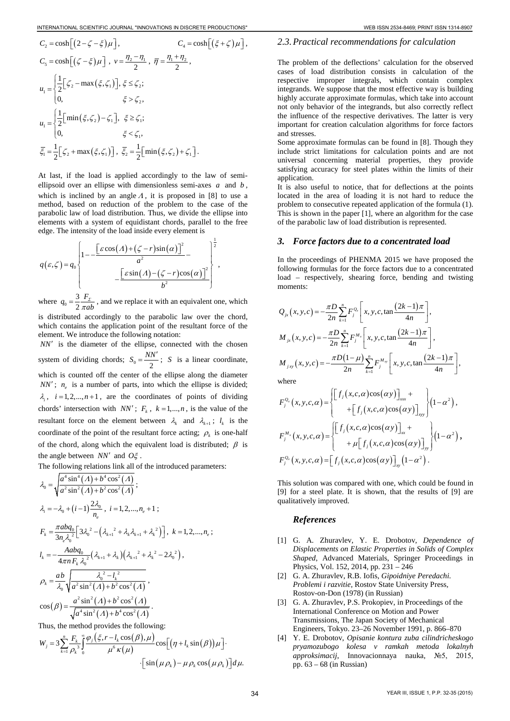$$
C_{2} = \cosh\left[\left(2-\zeta-\xi\right)\mu\right], \qquad C_{4} = \cosh\left[\left(\xi+\zeta\right)\mu\right],
$$
  
\n
$$
C_{5} = \cosh\left[\left(\zeta-\xi\right)\mu\right], \quad v = \frac{\eta_{2} - \eta_{1}}{2}, \quad \overline{\eta} = \frac{\eta_{1} + \eta_{2}}{2},
$$
  
\n
$$
u_{1} = \begin{cases} \frac{1}{2}\left[\zeta_{2} - \max\left(\xi,\zeta_{1}\right)\right], \xi \leq \zeta_{2}; \\ 0, \qquad \xi > \zeta_{2}, \end{cases}
$$
  
\n
$$
u_{1} = \begin{cases} \frac{1}{2}\left[\min\left(\xi,\zeta_{2}\right) - \zeta_{1}\right], \xi \geq \zeta_{1}; \\ 0, \qquad \xi < \zeta_{1}, \end{cases}
$$
  
\n
$$
\overline{\xi}_{1} = \frac{1}{2}\left[\zeta_{2} + \max\left(\xi,\zeta_{1}\right)\right], \quad \overline{\xi}_{2} = \frac{1}{2}\left[\min\left(\xi,\zeta_{2}\right) + \zeta_{1}\right].
$$

At last, if the load is applied accordingly to the law of semiellipsoid over an ellipse with dimensionless semi-axes *a* and *b* , which is inclined by an angle  $\Lambda$ , it is proposed in [8] to use a method, based on reduction of the problem to the case of the parabolic law of load distribution. Thus, we divide the ellipse into elements with a system of equidistant chords, parallel to the free edge. The intensity of the load inside every element is

$$
q(\varepsilon,\zeta) = q_0 \left\{ 1 - \frac{\left[\varepsilon \cos(A) + (\zeta - r)\sin(\alpha)\right]^2}{a^2} - \frac{\left[\varepsilon \sin(A) - (\zeta - r)\cos(\alpha)\right]^2}{b^2} \right\},\,
$$

where  $q_0 = \frac{3}{2}$ 2  $q_0 = \frac{3}{2} \frac{F_z}{\pi ab}$ , and we replace it with an equivalent one, which

is distributed accordingly to the parabolic law over the chord, which contains the application point of the resultant force of the element. We introduce the following notation:

*NN*′ is the diameter of the ellipse, connected with the chosen system of dividing chords;  $S_0 = \frac{NN'}{2}$ ; *S* is a linear coordinate, which is counted off the center of the ellipse along the diameter  $NN'$ ;  $n_e$  is a number of parts, into which the ellipse is divided;  $\lambda_i$ ,  $i = 1, 2, \dots, n + 1$ , are the coordinates of points of dividing chords' intersection with *NN'*;  $F_k$ ,  $k = 1,...,n$ , is the value of the resultant force on the element between  $\lambda_k$  and  $\lambda_{k+1}$ ;  $l_k$  is the coordinate of the point of the resultant force acting;  $\rho_k$  is one-half of the chord, along which the equivalent load is distributed;  $\beta$  is the angle between *NN*′ and *O*ξ .

The following relations link all of the introduced parameters:

$$
\lambda_0 = \sqrt{\frac{a^4 \sin^4(A) + b^4 \cos^2(A)}{a^2 \sin^2(A) + b^2 \cos^2(A)}};
$$
\n
$$
\lambda_i = -\lambda_0 + (i-1)\frac{2\lambda_0}{n_e}, \quad i = 1, 2, ..., n_e + 1;
$$
\n
$$
F_k = \frac{\pi abq_0}{3n_e\lambda_0^2} \Big[ 3\lambda_0^2 - \Big(\lambda_{k+1}^2 + \lambda_k\lambda_{k+1} + \lambda_k^2\Big) \Big], \quad k = 1, 2, ..., n_e;
$$
\n
$$
l_k = -\frac{Aabq_0}{4\pi n F_k \lambda_0^2} \Big(\lambda_{k+1} + \lambda_k\Big) \Big(\lambda_{k+1}^2 + \lambda_k^2 - 2\lambda_0^2\Big),
$$
\n
$$
\rho_k = \frac{ab}{\lambda_0} \sqrt{\frac{\lambda_0^2 - l_k^2}{a^2 \sin^2(A) + b^2 \cos^2(A)}},
$$
\n
$$
\cos(\beta) = \frac{a^2 \sin^2(A) + b^2 \cos^2(A)}{\sqrt{a^4 \sin^2(A) + b^4 \cos^2(A)}}.
$$
\nThus, the method is multiplied by following.

Thus, the method provides the following:

$$
W_j = 3 \sum_{k=1}^n \frac{F_k}{\rho_k^3} \int_0^\infty \frac{\varphi_j(\xi, r - l_k \cos(\beta), \mu)}{\mu^6 \kappa(\mu)} \cos\left[(\eta + l_k \sin(\beta))\mu\right] \cdot \left[\sin(\mu \rho_k) - \mu \rho_k \cos(\mu \rho_k)\right] d\mu.
$$

#### *2.3.Practical recommendations for calculation*

The problem of the deflections' calculation for the observed cases of load distribution consists in calculation of the respective improper integrals, which contain complex integrands. We suppose that the most effective way is building highly accurate approximate formulas, which take into account not only behavior of the integrands, but also correctly reflect the influence of the respective derivatives. The latter is very important for creation calculation algorithms for force factors and stresses.

Some approximate formulas can be found in [8]. Though they include strict limitations for calculation points and are not universal concerning material properties, they provide satisfying accuracy for steel plates within the limits of their application.

It is also useful to notice, that for deflections at the points located in the area of loading it is not hard to reduce the problem to consecutive repeated application of the formula (1). This is shown in the paper [1], where an algorithm for the case of the parabolic law of load distribution is represented.

#### *3. Force factors due to a concentrated load*

In the proceedings of PHENMA 2015 we have proposed the following formulas for the force factors due to a concentrated load – respectively, shearing force, bending and twisting moments:

$$
Q_{jx}(x, y, c) = -\frac{\pi D}{2n} \sum_{k=1}^{n} F_{j}^{\Omega_{k}} \left[ x, y, c, \tan \frac{(2k-1)\pi}{4n} \right],
$$
  

$$
M_{jx}(x, y, c) = -\frac{\pi D}{2n} \sum_{k=1}^{n} F_{j}^{M_{x}} \left[ x, y, c, \tan \frac{(2k-1)\pi}{4n} \right],
$$
  

$$
M_{jxy}(x, y, c) = -\frac{\pi D(1-\mu)}{2n} \sum_{k=1}^{n} F_{j}^{M_{xy}} \left[ x, y, c, \tan \frac{(2k-1)\pi}{4n} \right],
$$

where

$$
F_j^{\varrho_x}(x, y, c, \alpha) = \begin{cases} \left[f_j(x, c, \alpha)\cos(\alpha y)\right]_{xx} + \left[f_j(x, c, \alpha)\cos(\alpha y)\right]_{xy}\right\} (1-\alpha^2), \\ \left+f_j(x, c, \alpha)\cos(\alpha y)\right]_{xx} + \left[f_j(x, c, \alpha)\cos(\alpha y)\right]_{xx} + \left+f_j(x, c, \alpha)\cos(\alpha y)\right]_{yy} (1-\alpha^2), \\ \left+f_j(x, c, \alpha)\cos(\alpha y)\right]_{xy} (1-\alpha^2). \end{cases}
$$

This solution was compared with one, which could be found in [9] for a steel plate. It is shown, that the results of [9] are qualitatively improved.

#### *References*

- [1] G. A. Zhuravlev, Y. E. Drobotov, *Dependence of Displacements on Elastic Properties in Solids of Complex Shaped*, Advanced Materials, Springer Proceedings in Physics, Vol. 152, 2014, pp. 231 – 246
- [2] G. A. Zhuravlev, R.B. Iofis, *Gipoidniye Peredachi. Problemi i razvitie*, Rostov State University Press, Rostov-on-Don (1978) (in Russian)
- [3] G. A. Zhuravlev, P.S. Prokopiev, in Proceedings of the International Conference on Motion and Power Transmissions, The Japan Society of Mechanical Engineers, Tokyo. 23–26 November 1991, p. 866–870
- [4] Y. E. Drobotov, *Opisanie kontura zuba cilindricheskogo pryamozubogo kolesa v ramkah metoda lokalnyh approksimacij*, Innovacionnaya nauka, №5, 2015, pp. 63 – 68 (in Russian)